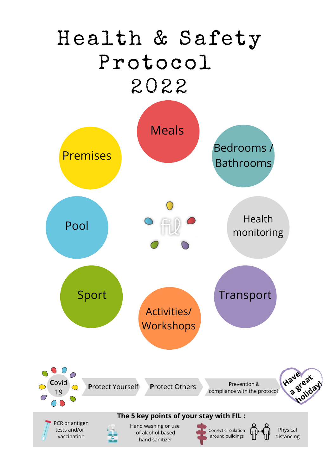## Health & Safety Protocol 2022

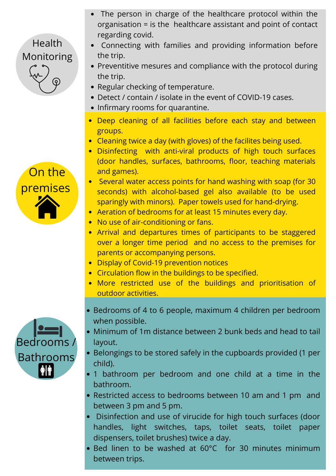- The person in charge of the healthcare protocol within the organisation = is the healthcare assistant and point of contact regarding covid.
- Connecting with families and providing information before the trip.
- Preventitive mesures and compliance with the protocol during the trip.
- Regular checking of temperature.
- Detect / contain / isolate in the event of COVID-19 cases.
- Infirmary rooms for quarantine.
- Deep cleaning of all facilities before each stay and between groups.
- Cleaning twice a day (with gloves) of the facilites being used.
- Disinfecting with anti-viral products of high touch surfaces (door handles, surfaces, bathrooms, floor, teaching materials and games).
- Several water access points for hand washing with soap (for 30 seconds) with alcohol-based gel also available (to be used sparingly with minors). Paper towels used for hand-drying.
- Aeration of bedrooms for at least 15 minutes every day.
- No use of air-conditioning or fans.
- Arrival and departures times of participants to be staggered over a longer time period and no access to the premises for parents or accompanying persons.
- Display of Covid-19 prevention notices
- Circulation flow in the buildings to be specified.
- More restricted use of the buildings and prioritisation of outdoor activities.
- Bedrooms of 4 to 6 people, maximum 4 children per bedroom when possible.
- Minimum of 1m distance between 2 bunk beds and head to tail layout.
- Belongings to be stored safely in the cupboards provided (1 per child).
- 1 bathroom per bedroom and one child at a time in the bathroom.
- Restricted access to bedrooms between 10 am and 1 pm and between 3 pm and 5 pm.
- Disinfection and use of virucide for high touch surfaces (door handles, light switches, taps, toilet seats, toilet paper dispensers, toilet brushes) twice a day.
- Bed linen to be washed at 60°C for 30 minutes minimum between trips.





Health

Monitoring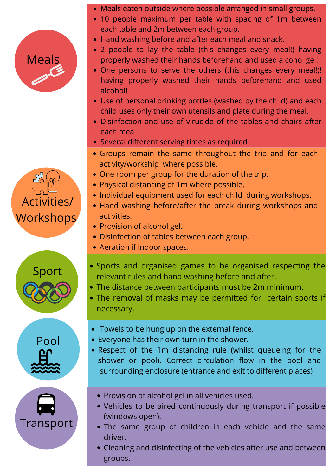## Meals

## Activities/ Workshops







- Meals eaten outside where possible arranged in small groups.
- 10 people maximum per table with spacing of 1m between each table and 2m between each group.
- Hand washing before and after each meal and snack.
- 2 people to lay the table (this changes every meal!) having properly washed their hands beforehand and used alcohol gel!
- One persons to serve the others (this changes every meal!)! having properly washed their hands beforehand and used alcohol!
- Use of personal drinking bottles (washed by the child) and each child uses only their own utensils and plate during the meal.
- Disinfection and use of virucide of the tables and chairs after each meal.
- Several different serving times as required
- Groups remain the same throughout the trip and for each activity/workship where possible.
- One room per group for the duration of the trip.
- Physical distancing of 1m where possible.
- Individual equipment used for each child during workshops.
- Hand washing before/after the break during workshops and activities.
- Provision of alcohol gel.
- Disinfection of tables between each group.
- Aeration if indoor spaces.
- Sports and organised games to be organised respecting the relevant rules and hand washing before and after.
- The distance between participants must be 2m minimum.
- The removal of masks may be permitted for certain sports if necessary.
- Towels to be hung up on the external fence.
- Everyone has their own turn in the shower.
- Respect of the 1m distancing rule (whilst queueing for the shower or pool). Correct circulation flow in the pool and surrounding enclosure (entrance and exit to different places)
	- Provision of alcohol gel in all vehicles used.
	- Vehicles to be aired continuously during transport if possible (windows open).
	- The same group of children in each vehicle and the same driver.
	- Cleaning and disinfecting of the vehicles after use and between groups.